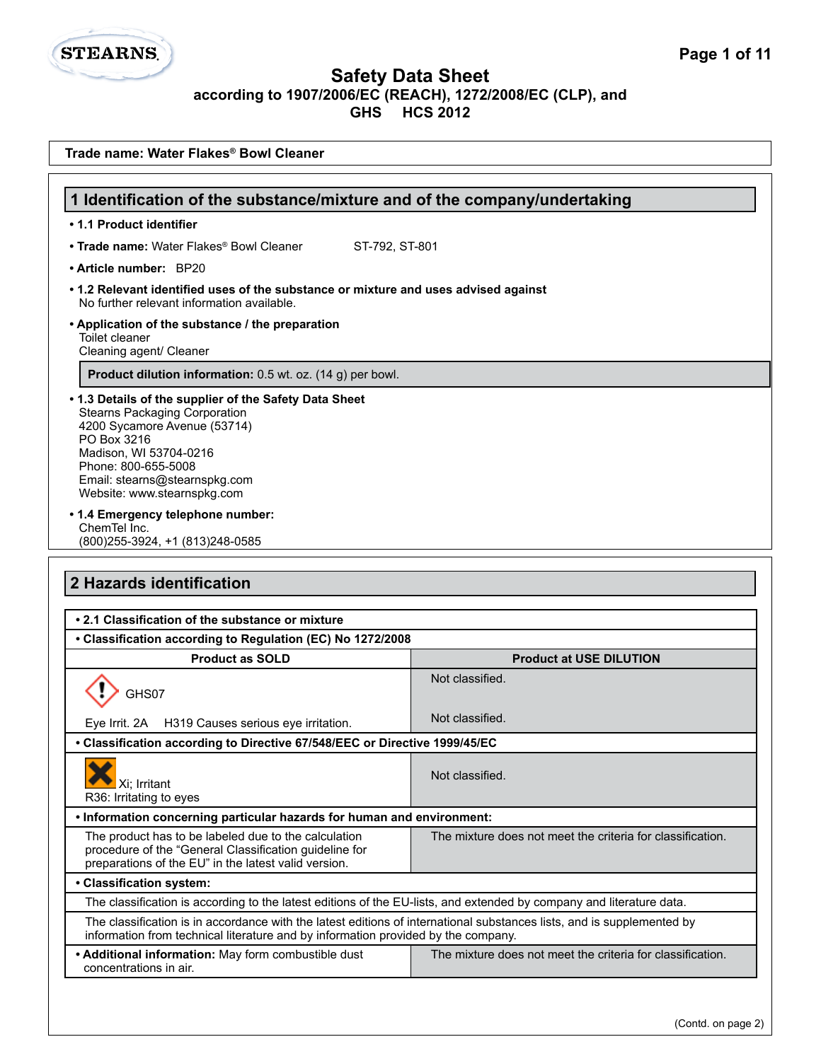**STEARNS.** 

| Trade name: Water Flakes® Bowl Cleaner                                                                                                                                                                                                                         |                                                            |
|----------------------------------------------------------------------------------------------------------------------------------------------------------------------------------------------------------------------------------------------------------------|------------------------------------------------------------|
|                                                                                                                                                                                                                                                                |                                                            |
| 1 Identification of the substance/mixture and of the company/undertaking                                                                                                                                                                                       |                                                            |
| • 1.1 Product identifier                                                                                                                                                                                                                                       |                                                            |
| • Trade name: Water Flakes® Bowl Cleaner<br>ST-792, ST-801                                                                                                                                                                                                     |                                                            |
| • Article number: BP20                                                                                                                                                                                                                                         |                                                            |
| • 1.2 Relevant identified uses of the substance or mixture and uses advised against<br>No further relevant information available.                                                                                                                              |                                                            |
| • Application of the substance / the preparation<br>Toilet cleaner<br>Cleaning agent/ Cleaner                                                                                                                                                                  |                                                            |
| Product dilution information: 0.5 wt. oz. (14 g) per bowl.                                                                                                                                                                                                     |                                                            |
| • 1.3 Details of the supplier of the Safety Data Sheet<br><b>Stearns Packaging Corporation</b><br>4200 Sycamore Avenue (53714)<br>PO Box 3216<br>Madison, WI 53704-0216<br>Phone: 800-655-5008<br>Email: stearns@stearnspkg.com<br>Website: www.stearnspkg.com |                                                            |
| • 1.4 Emergency telephone number:<br>ChemTel Inc.<br>(800) 255-3924, +1 (813) 248-0585                                                                                                                                                                         |                                                            |
| 2 Hazards identification                                                                                                                                                                                                                                       |                                                            |
| • 2.1 Classification of the substance or mixture                                                                                                                                                                                                               |                                                            |
| • Classification according to Regulation (EC) No 1272/2008                                                                                                                                                                                                     |                                                            |
| <b>Product as SOLD</b>                                                                                                                                                                                                                                         | <b>Product at USE DILUTION</b>                             |
| GHS07                                                                                                                                                                                                                                                          | Not classified.                                            |
| H319 Causes serious eye irritation.<br>Eve Irrit. 2A                                                                                                                                                                                                           | Not classified.                                            |
| • Classification according to Directive 67/548/EEC or Directive 1999/45/EC                                                                                                                                                                                     |                                                            |
| Xi; Irritant<br>R36: Irritating to eyes                                                                                                                                                                                                                        | Not classified.                                            |
| . Information concerning particular hazards for human and environment:                                                                                                                                                                                         |                                                            |
| The product has to be labeled due to the calculation<br>procedure of the "General Classification guideline for<br>preparations of the EU" in the latest valid version.                                                                                         | The mixture does not meet the criteria for classification. |
| • Classification system:                                                                                                                                                                                                                                       |                                                            |
| The classification is according to the latest editions of the EU-lists, and extended by company and literature data.                                                                                                                                           |                                                            |
| The classification is in accordance with the latest editions of international substances lists, and is supplemented by<br>information from technical literature and by information provided by the company.                                                    |                                                            |
| • Additional information: May form combustible dust<br>concentrations in air.                                                                                                                                                                                  | The mixture does not meet the criteria for classification. |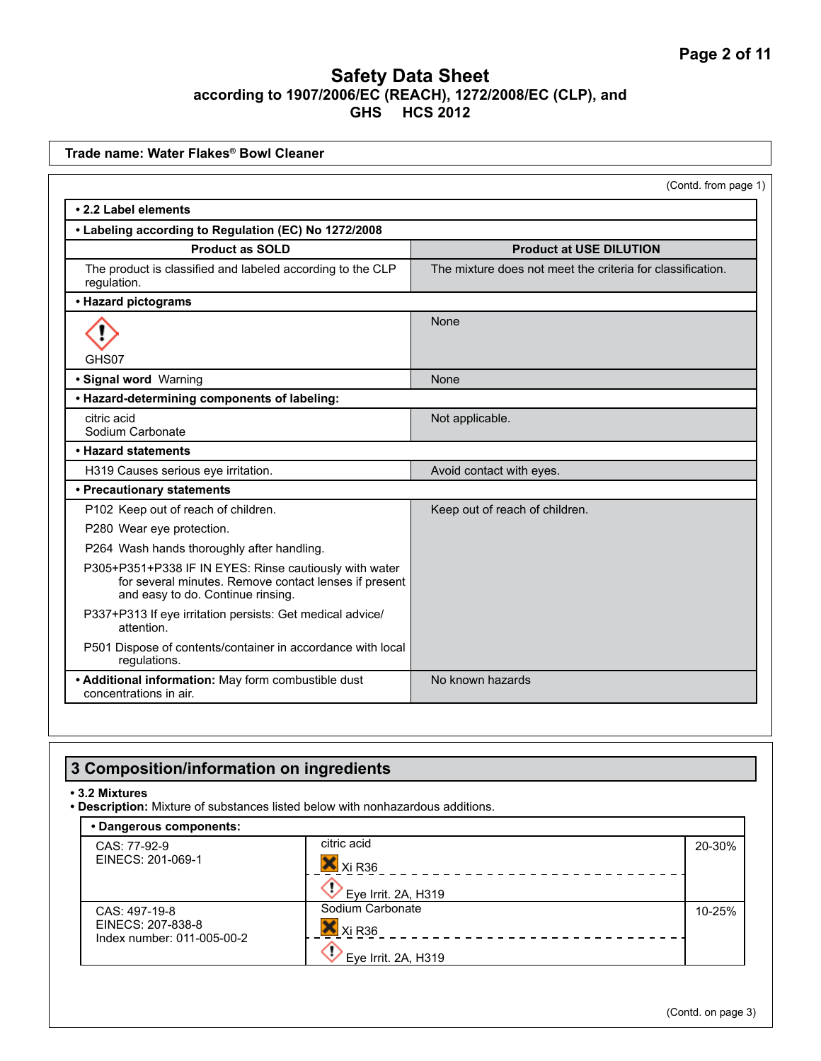| Trade name: Water Flakes® Bowl Cleaner                                                                                                               |                                                            |
|------------------------------------------------------------------------------------------------------------------------------------------------------|------------------------------------------------------------|
|                                                                                                                                                      | (Contd. from page 1)                                       |
| • 2.2 Label elements                                                                                                                                 |                                                            |
| • Labeling according to Regulation (EC) No 1272/2008                                                                                                 |                                                            |
| <b>Product as SOLD</b>                                                                                                                               | <b>Product at USE DILUTION</b>                             |
| The product is classified and labeled according to the CLP<br>regulation.                                                                            | The mixture does not meet the criteria for classification. |
| • Hazard pictograms                                                                                                                                  |                                                            |
|                                                                                                                                                      | None                                                       |
| GHS07                                                                                                                                                |                                                            |
| · Signal word Warning                                                                                                                                | None                                                       |
| • Hazard-determining components of labeling:                                                                                                         |                                                            |
| citric acid<br>Sodium Carbonate                                                                                                                      | Not applicable.                                            |
| • Hazard statements                                                                                                                                  |                                                            |
| H319 Causes serious eye irritation.                                                                                                                  | Avoid contact with eyes.                                   |
| • Precautionary statements                                                                                                                           |                                                            |
| P102 Keep out of reach of children.                                                                                                                  | Keep out of reach of children.                             |
| P280 Wear eye protection.                                                                                                                            |                                                            |
| P264 Wash hands thoroughly after handling.                                                                                                           |                                                            |
| P305+P351+P338 IF IN EYES: Rinse cautiously with water<br>for several minutes. Remove contact lenses if present<br>and easy to do. Continue rinsing. |                                                            |
| P337+P313 If eye irritation persists: Get medical advice/<br>attention.                                                                              |                                                            |
| P501 Dispose of contents/container in accordance with local<br>regulations.                                                                          |                                                            |
| • Additional information: May form combustible dust<br>concentrations in air.                                                                        | No known hazards                                           |

# **3 Composition/information on ingredients**

**• 3.2 Mixtures**

**• Description:** Mixture of substances listed below with nonhazardous additions.

| • Dangerous components:                         |                     |        |
|-------------------------------------------------|---------------------|--------|
| CAS: 77-92-9                                    | citric acid         | 20-30% |
| EINECS: 201-069-1                               | Xi R36              |        |
|                                                 | Eye Irrit. 2A, H319 |        |
| CAS: 497-19-8                                   | Sodium Carbonate    | 10-25% |
| EINECS: 207-838-8<br>Index number: 011-005-00-2 | Xi R36              |        |
|                                                 | Eye Irrit. 2A, H319 |        |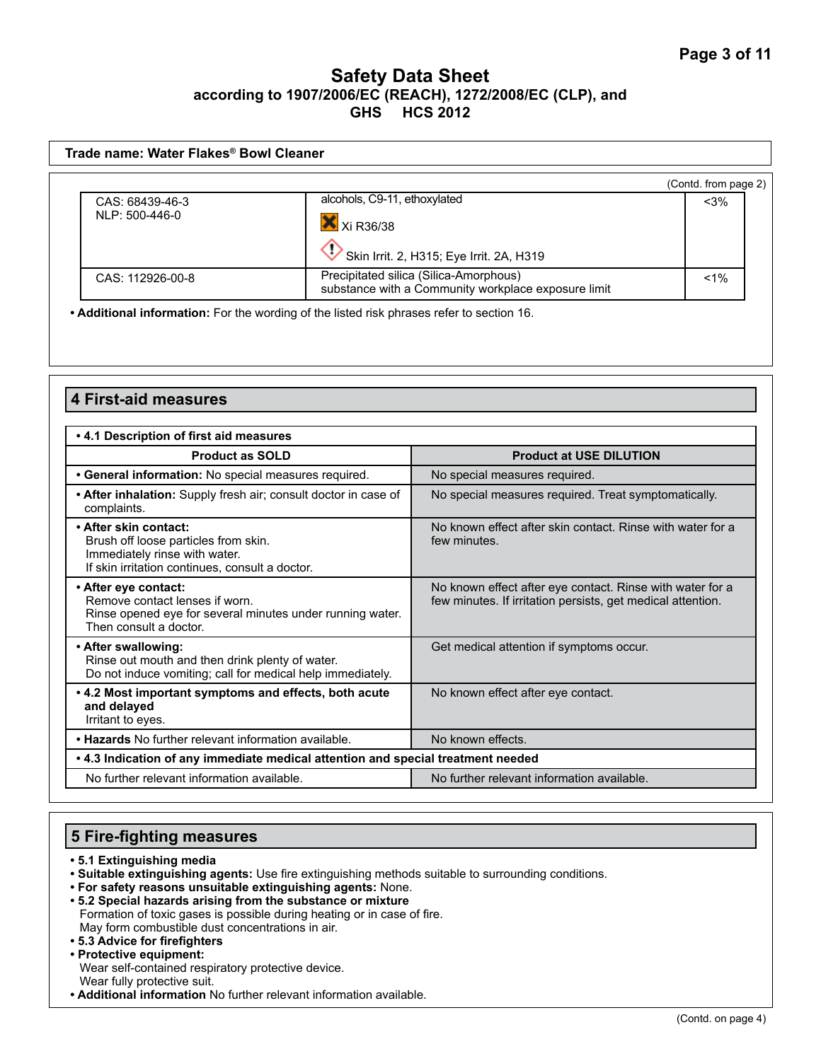| Trade name: Water Flakes® Bowl Cleaner |                                                                                               |                      |
|----------------------------------------|-----------------------------------------------------------------------------------------------|----------------------|
|                                        |                                                                                               | (Contd. from page 2) |
| CAS: 68439-46-3                        | alcohols, C9-11, ethoxylated                                                                  | $<$ 3%               |
| NLP: 500-446-0                         | X Xi R36/38                                                                                   |                      |
|                                        | Skin Irrit. 2, H315; Eye Irrit. 2A, H319                                                      |                      |
| CAS: 112926-00-8                       | Precipitated silica (Silica-Amorphous)<br>substance with a Community workplace exposure limit | $< 1\%$              |

**• Additional information:** For the wording of the listed risk phrases refer to section 16.

#### **4 First-aid measures**

| .4.1 Description of first aid measures                                                                                                            |                                                                                                                          |
|---------------------------------------------------------------------------------------------------------------------------------------------------|--------------------------------------------------------------------------------------------------------------------------|
| <b>Product as SOLD</b>                                                                                                                            | <b>Product at USE DILUTION</b>                                                                                           |
| • General information: No special measures required.                                                                                              | No special measures required.                                                                                            |
| • After inhalation: Supply fresh air; consult doctor in case of<br>complaints.                                                                    | No special measures required. Treat symptomatically.                                                                     |
| • After skin contact:<br>Brush off loose particles from skin.<br>Immediately rinse with water.<br>If skin irritation continues, consult a doctor. | No known effect after skin contact. Rinse with water for a<br>few minutes.                                               |
| • After eye contact:<br>Remove contact lenses if worn.<br>Rinse opened eye for several minutes under running water.<br>Then consult a doctor.     | No known effect after eye contact. Rinse with water for a<br>few minutes. If irritation persists, get medical attention. |
| • After swallowing:<br>Rinse out mouth and then drink plenty of water.<br>Do not induce vomiting; call for medical help immediately.              | Get medical attention if symptoms occur.                                                                                 |
| . 4.2 Most important symptoms and effects, both acute<br>and delayed<br>Irritant to eyes.                                                         | No known effect after eye contact.                                                                                       |
| . Hazards No further relevant information available.                                                                                              | No known effects.                                                                                                        |
| • 4.3 Indication of any immediate medical attention and special treatment needed                                                                  |                                                                                                                          |
| No further relevant information available.                                                                                                        | No further relevant information available.                                                                               |

#### **5 Fire-fighting measures**

- **5.1 Extinguishing media**
- **Suitable extinguishing agents:** Use fire extinguishing methods suitable to surrounding conditions.
- **For safety reasons unsuitable extinguishing agents:** None.
- **5.2 Special hazards arising from the substance or mixture**  Formation of toxic gases is possible during heating or in case of fire. May form combustible dust concentrations in air.
- **5.3 Advice for firefighters • Protective equipment:**
- Wear self-contained respiratory protective device. Wear fully protective suit.
- **Additional information** No further relevant information available.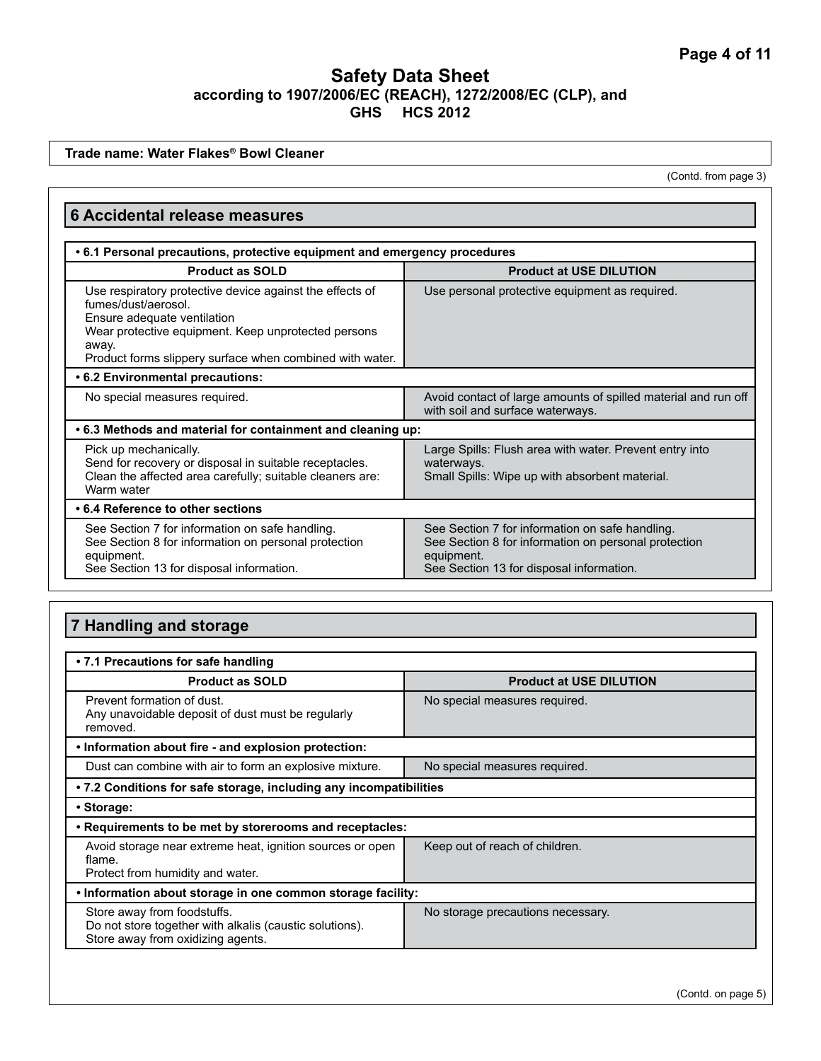**Trade name: Water Flakes® Bowl Cleaner**

(Contd. from page 3)

| <b>6 Accidental release measures</b>                                                                                                                                                                                                       |                                                                                                                                                                   |  |
|--------------------------------------------------------------------------------------------------------------------------------------------------------------------------------------------------------------------------------------------|-------------------------------------------------------------------------------------------------------------------------------------------------------------------|--|
| . 6.1 Personal precautions, protective equipment and emergency procedures                                                                                                                                                                  |                                                                                                                                                                   |  |
| <b>Product as SOLD</b>                                                                                                                                                                                                                     | <b>Product at USE DILUTION</b>                                                                                                                                    |  |
| Use respiratory protective device against the effects of<br>fumes/dust/aerosol.<br>Ensure adequate ventilation<br>Wear protective equipment. Keep unprotected persons<br>away.<br>Product forms slippery surface when combined with water. | Use personal protective equipment as required.                                                                                                                    |  |
| • 6.2 Environmental precautions:                                                                                                                                                                                                           |                                                                                                                                                                   |  |
| No special measures required.                                                                                                                                                                                                              | Avoid contact of large amounts of spilled material and run off<br>with soil and surface waterways.                                                                |  |
| • 6.3 Methods and material for containment and cleaning up:                                                                                                                                                                                |                                                                                                                                                                   |  |
| Pick up mechanically.<br>Send for recovery or disposal in suitable receptacles.<br>Clean the affected area carefully; suitable cleaners are:<br>Warm water                                                                                 | Large Spills: Flush area with water. Prevent entry into<br>waterways.<br>Small Spills: Wipe up with absorbent material.                                           |  |
| • 6.4 Reference to other sections                                                                                                                                                                                                          |                                                                                                                                                                   |  |
| See Section 7 for information on safe handling.<br>See Section 8 for information on personal protection<br>equipment.<br>See Section 13 for disposal information.                                                                          | See Section 7 for information on safe handling.<br>See Section 8 for information on personal protection<br>equipment.<br>See Section 13 for disposal information. |  |

# **7 Handling and storage**

| • 7.1 Precautions for safe handling                                                                                         |                                   |
|-----------------------------------------------------------------------------------------------------------------------------|-----------------------------------|
| <b>Product as SOLD</b>                                                                                                      | <b>Product at USE DILUTION</b>    |
| Prevent formation of dust.<br>Any unavoidable deposit of dust must be regularly<br>removed.                                 | No special measures required.     |
| . Information about fire - and explosion protection:                                                                        |                                   |
| Dust can combine with air to form an explosive mixture.                                                                     | No special measures required.     |
| • 7.2 Conditions for safe storage, including any incompatibilities                                                          |                                   |
| • Storage:                                                                                                                  |                                   |
| . Requirements to be met by storerooms and receptacles:                                                                     |                                   |
| Avoid storage near extreme heat, ignition sources or open<br>flame.<br>Protect from humidity and water.                     | Keep out of reach of children.    |
| . Information about storage in one common storage facility:                                                                 |                                   |
| Store away from foodstuffs.<br>Do not store together with alkalis (caustic solutions).<br>Store away from oxidizing agents. | No storage precautions necessary. |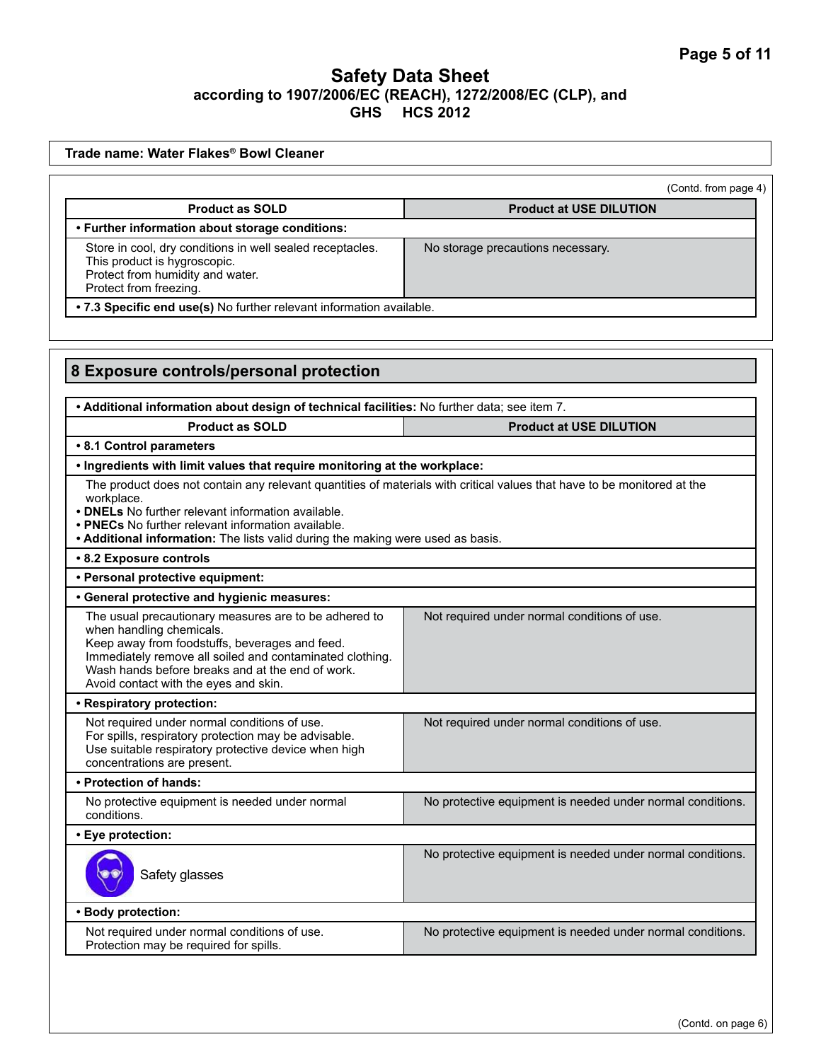| Trade name: Water Flakes® Bowl Cleaner                                                                                                                                                                                                                                                                                               |                                                            |
|--------------------------------------------------------------------------------------------------------------------------------------------------------------------------------------------------------------------------------------------------------------------------------------------------------------------------------------|------------------------------------------------------------|
|                                                                                                                                                                                                                                                                                                                                      | (Contd. from page 4)                                       |
| <b>Product as SOLD</b>                                                                                                                                                                                                                                                                                                               | <b>Product at USE DILUTION</b>                             |
| • Further information about storage conditions:                                                                                                                                                                                                                                                                                      |                                                            |
| Store in cool, dry conditions in well sealed receptacles.<br>This product is hygroscopic.<br>Protect from humidity and water.<br>Protect from freezing.                                                                                                                                                                              | No storage precautions necessary.                          |
| . 7.3 Specific end use(s) No further relevant information available.                                                                                                                                                                                                                                                                 |                                                            |
|                                                                                                                                                                                                                                                                                                                                      |                                                            |
| 8 Exposure controls/personal protection                                                                                                                                                                                                                                                                                              |                                                            |
| . Additional information about design of technical facilities: No further data; see item 7.                                                                                                                                                                                                                                          |                                                            |
| <b>Product as SOLD</b>                                                                                                                                                                                                                                                                                                               | <b>Product at USE DILUTION</b>                             |
| • 8.1 Control parameters                                                                                                                                                                                                                                                                                                             |                                                            |
| . Ingredients with limit values that require monitoring at the workplace:                                                                                                                                                                                                                                                            |                                                            |
| The product does not contain any relevant quantities of materials with critical values that have to be monitored at the<br>workplace.<br>• DNELs No further relevant information available.<br>• PNECs No further relevant information available.<br>• Additional information: The lists valid during the making were used as basis. |                                                            |
| • 8.2 Exposure controls                                                                                                                                                                                                                                                                                                              |                                                            |
| • Personal protective equipment:                                                                                                                                                                                                                                                                                                     |                                                            |
| • General protective and hygienic measures:                                                                                                                                                                                                                                                                                          |                                                            |
| The usual precautionary measures are to be adhered to<br>when handling chemicals.<br>Keep away from foodstuffs, beverages and feed.<br>Immediately remove all soiled and contaminated clothing.<br>Wash hands before breaks and at the end of work.<br>Avoid contact with the eyes and skin.                                         | Not required under normal conditions of use.               |
| • Respiratory protection:                                                                                                                                                                                                                                                                                                            |                                                            |
| Not required under normal conditions of use.<br>For spills, respiratory protection may be advisable.<br>Use suitable respiratory protective device when high<br>concentrations are present.                                                                                                                                          | Not required under normal conditions of use.               |
| • Protection of hands:                                                                                                                                                                                                                                                                                                               |                                                            |
| No protective equipment is needed under normal<br>conditions.                                                                                                                                                                                                                                                                        | No protective equipment is needed under normal conditions. |
| • Eye protection:                                                                                                                                                                                                                                                                                                                    |                                                            |
| Safety glasses                                                                                                                                                                                                                                                                                                                       | No protective equipment is needed under normal conditions. |
| • Body protection:                                                                                                                                                                                                                                                                                                                   |                                                            |
|                                                                                                                                                                                                                                                                                                                                      | No protective equipment is needed under normal conditions. |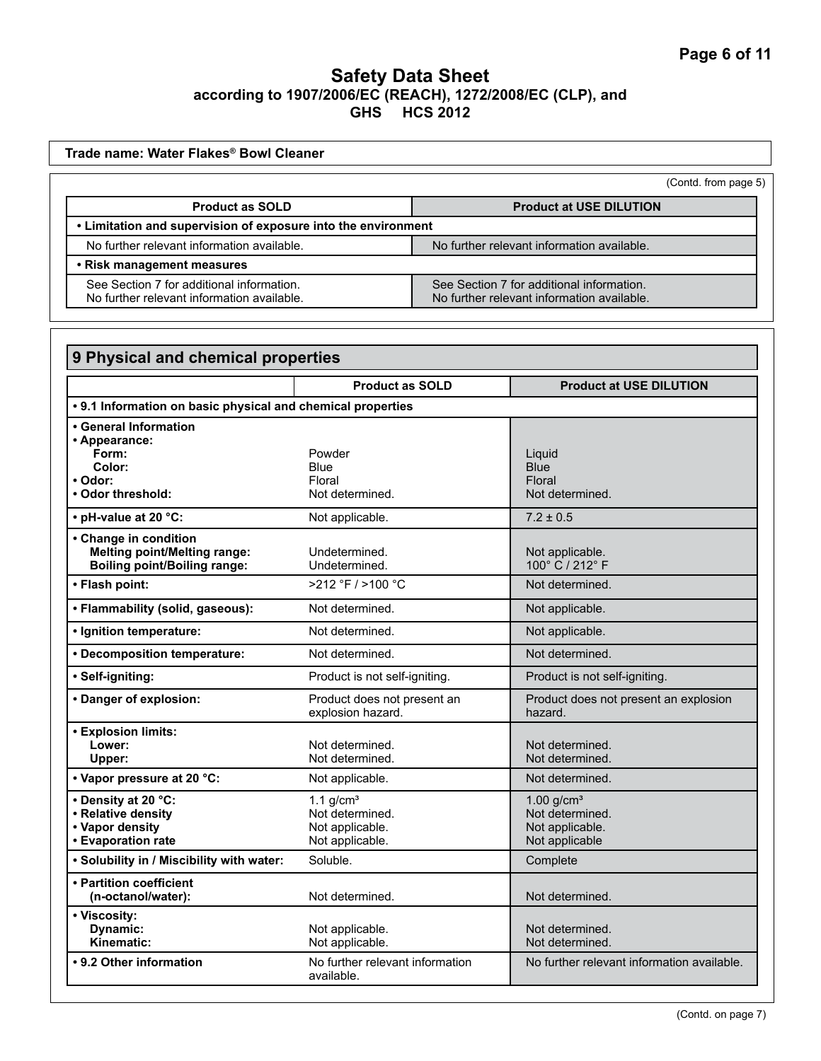| Trade name: Water Flakes® Bowl Cleaner                                                                          |                        |                                                                                         |
|-----------------------------------------------------------------------------------------------------------------|------------------------|-----------------------------------------------------------------------------------------|
|                                                                                                                 |                        | (Contd. from page 5)                                                                    |
| <b>Product as SOLD</b>                                                                                          |                        | <b>Product at USE DILUTION</b>                                                          |
| • Limitation and supervision of exposure into the environment                                                   |                        |                                                                                         |
| No further relevant information available.                                                                      |                        | No further relevant information available.                                              |
| • Risk management measures                                                                                      |                        |                                                                                         |
| See Section 7 for additional information.<br>No further relevant information available.                         |                        | See Section 7 for additional information.<br>No further relevant information available. |
|                                                                                                                 |                        |                                                                                         |
| 9 Physical and chemical properties                                                                              |                        |                                                                                         |
|                                                                                                                 | <b>Product as SOLD</b> | <b>Product at USE DILUTION</b>                                                          |
|                                                                                                                 |                        |                                                                                         |
|                                                                                                                 |                        |                                                                                         |
| Form:                                                                                                           | Powder                 |                                                                                         |
| . 9.1 Information on basic physical and chemical properties<br>• General Information<br>• Appearance:<br>Color: | <b>Blue</b>            | Liquid<br><b>Blue</b>                                                                   |
|                                                                                                                 | Floral                 | Floral                                                                                  |
|                                                                                                                 | Not determined.        | Not determined.                                                                         |
| $\cdot$ Odor:<br>. Odor threshold:<br>• pH-value at 20 °C:                                                      | Not applicable.        | $7.2 \pm 0.5$                                                                           |
| • Change in condition                                                                                           |                        |                                                                                         |
| <b>Melting point/Melting range:</b>                                                                             | Undetermined.          | Not applicable.                                                                         |
| <b>Boiling point/Boiling range:</b>                                                                             | Undetermined.          | 100° C / 212° F                                                                         |
| • Flash point:                                                                                                  | >212 °F / >100 °C      | Not determined.                                                                         |

| • Change in condition                     |                                                  |                                                  |
|-------------------------------------------|--------------------------------------------------|--------------------------------------------------|
| <b>Melting point/Melting range:</b>       | Undetermined.                                    | Not applicable.                                  |
| <b>Boiling point/Boiling range:</b>       | Undetermined.                                    | 100° C / 212° F                                  |
| • Flash point:                            | $>212$ °F / $>100$ °C                            | Not determined.                                  |
| • Flammability (solid, gaseous):          | Not determined.                                  | Not applicable.                                  |
| • Ignition temperature:                   | Not determined.                                  | Not applicable.                                  |
| • Decomposition temperature:              | Not determined.                                  | Not determined.                                  |
| • Self-igniting:                          | Product is not self-igniting.                    | Product is not self-igniting.                    |
| • Danger of explosion:                    | Product does not present an<br>explosion hazard. | Product does not present an explosion<br>hazard. |
| • Explosion limits:                       |                                                  |                                                  |
| Lower:                                    | Not determined.                                  | Not determined.                                  |
| Upper:                                    | Not determined.                                  | Not determined.                                  |
| • Vapor pressure at 20 °C:                | Not applicable.                                  | Not determined.                                  |
| • Density at 20 °C:                       | 1.1 $g/cm3$                                      | $1.00$ g/cm <sup>3</sup>                         |
| • Relative density                        | Not determined.                                  | Not determined.                                  |
| • Vapor density                           | Not applicable.                                  | Not applicable.                                  |
| • Evaporation rate                        | Not applicable.                                  | Not applicable                                   |
| . Solubility in / Miscibility with water: | Soluble.                                         | Complete                                         |
| • Partition coefficient                   |                                                  |                                                  |
| (n-octanol/water):                        | Not determined.                                  | Not determined.                                  |
| • Viscosity:                              |                                                  |                                                  |
| Dynamic:                                  | Not applicable.                                  | Not determined.                                  |
| Kinematic:                                | Not applicable.                                  | Not determined.                                  |
| • 9.2 Other information                   | No further relevant information<br>available.    | No further relevant information available.       |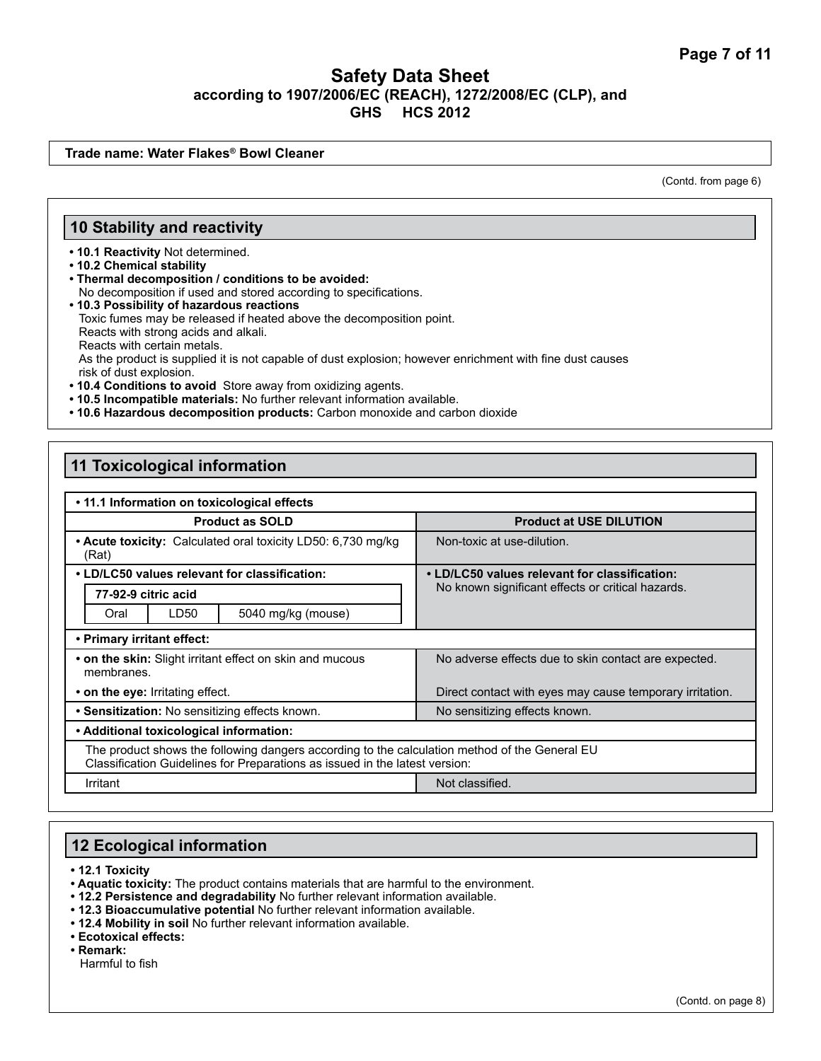**Trade name: Water Flakes® Bowl Cleaner**

(Contd. from page 6)

#### **10 Stability and reactivity**

**• 10.1 Reactivity** Not determined.

**• 10.2 Chemical stability**

- **Thermal decomposition / conditions to be avoided:** No decomposition if used and stored according to specifications.
- **10.3 Possibility of hazardous reactions** Toxic fumes may be released if heated above the decomposition point. Reacts with strong acids and alkali. Reacts with certain metals. As the product is supplied it is not capable of dust explosion; however enrichment with fine dust causes risk of dust explosion.
- **10.4 Conditions to avoid** Store away from oxidizing agents.
- **10.5 Incompatible materials:** No further relevant information available.
- **10.6 Hazardous decomposition products:** Carbon monoxide and carbon dioxide

#### **11 Toxicological information**

| • 11.1 Information on toxicological effects                                                                                                                                  |                                                          |
|------------------------------------------------------------------------------------------------------------------------------------------------------------------------------|----------------------------------------------------------|
| <b>Product as SOLD</b>                                                                                                                                                       | <b>Product at USE DILUTION</b>                           |
| • Acute toxicity: Calculated oral toxicity LD50: 6,730 mg/kg<br>(Rat)                                                                                                        | Non-toxic at use-dilution.                               |
| • LD/LC50 values relevant for classification:                                                                                                                                | • LD/LC50 values relevant for classification:            |
| 77-92-9 citric acid                                                                                                                                                          | No known significant effects or critical hazards.        |
| LD50<br>5040 mg/kg (mouse)<br>Oral                                                                                                                                           |                                                          |
| • Primary irritant effect:                                                                                                                                                   |                                                          |
| • on the skin: Slight irritant effect on skin and mucous<br>membranes.                                                                                                       | No adverse effects due to skin contact are expected.     |
| • on the eye: Irritating effect.                                                                                                                                             | Direct contact with eyes may cause temporary irritation. |
| • Sensitization: No sensitizing effects known.                                                                                                                               | No sensitizing effects known.                            |
| • Additional toxicological information:                                                                                                                                      |                                                          |
| The product shows the following dangers according to the calculation method of the General EU<br>Classification Guidelines for Preparations as issued in the latest version: |                                                          |
| Irritant                                                                                                                                                                     | Not classified.                                          |

# **12 Ecological information**

**• 12.1 Toxicity**

- **Aquatic toxicity:** The product contains materials that are harmful to the environment.
- **12.2 Persistence and degradability** No further relevant information available.
- **12.3 Bioaccumulative potential** No further relevant information available.
- **12.4 Mobility in soil** No further relevant information available.

**• Ecotoxical effects:** 

**• Remark:** 

Harmful to fish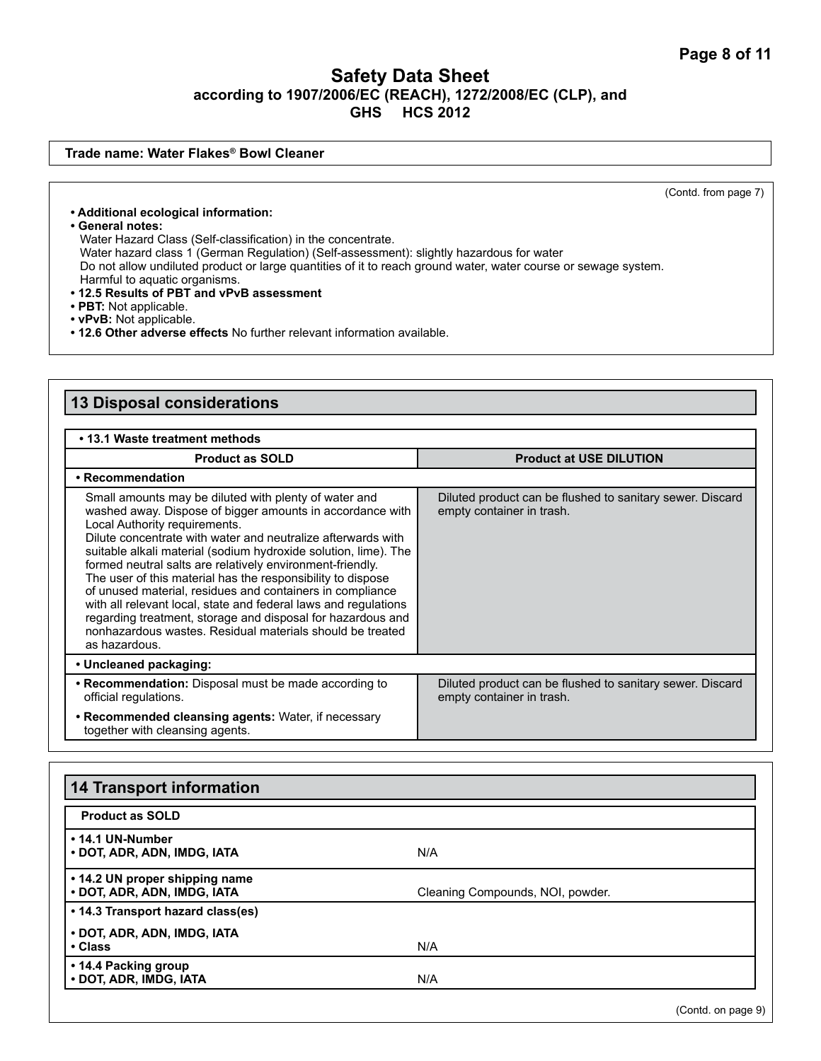#### **Trade name: Water Flakes® Bowl Cleaner**

(Contd. from page 7)

**• Additional ecological information:**

**• General notes:**

Water Hazard Class (Self-classification) in the concentrate. Water hazard class 1 (German Regulation) (Self-assessment): slightly hazardous for water Do not allow undiluted product or large quantities of it to reach ground water, water course or sewage system. Harmful to aquatic organisms.

- **12.5 Results of PBT and vPvB assessment**
- **PBT:** Not applicable.
- **vPvB:** Not applicable.
- **12.6 Other adverse effects** No further relevant information available.

#### **13 Disposal considerations • 13.1 Waste treatment methods Product as SOLD Product at USE DILUTION • Recommendation** Small amounts may be diluted with plenty of water and washed away. Dispose of bigger amounts in accordance with Local Authority requirements. Dilute concentrate with water and neutralize afterwards with suitable alkali material (sodium hydroxide solution, lime). The formed neutral salts are relatively environment-friendly. The user of this material has the responsibility to dispose of unused material, residues and containers in compliance with all relevant local, state and federal laws and regulations regarding treatment, storage and disposal for hazardous and nonhazardous wastes. Residual materials should be treated as hazardous. Diluted product can be flushed to sanitary sewer. Discard empty container in trash. **• Uncleaned packaging: • Recommendation:** Disposal must be made according to official regulations. Diluted product can be flushed to sanitary sewer. Discard empty container in trash. **• Recommended cleansing agents:** Water, if necessary together with cleansing agents.

| <b>14 Transport information</b>                               |                                  |  |
|---------------------------------------------------------------|----------------------------------|--|
| <b>Product as SOLD</b>                                        |                                  |  |
| • 14.1 UN-Number<br>• DOT, ADR, ADN, IMDG, IATA               | N/A                              |  |
| • 14.2 UN proper shipping name<br>• DOT, ADR, ADN, IMDG, IATA | Cleaning Compounds, NOI, powder. |  |
| • 14.3 Transport hazard class(es)                             |                                  |  |
| • DOT, ADR, ADN, IMDG, IATA<br>• Class                        | N/A                              |  |
| • 14.4 Packing group<br>• DOT, ADR, IMDG, IATA                | N/A                              |  |

(Contd. on page 9)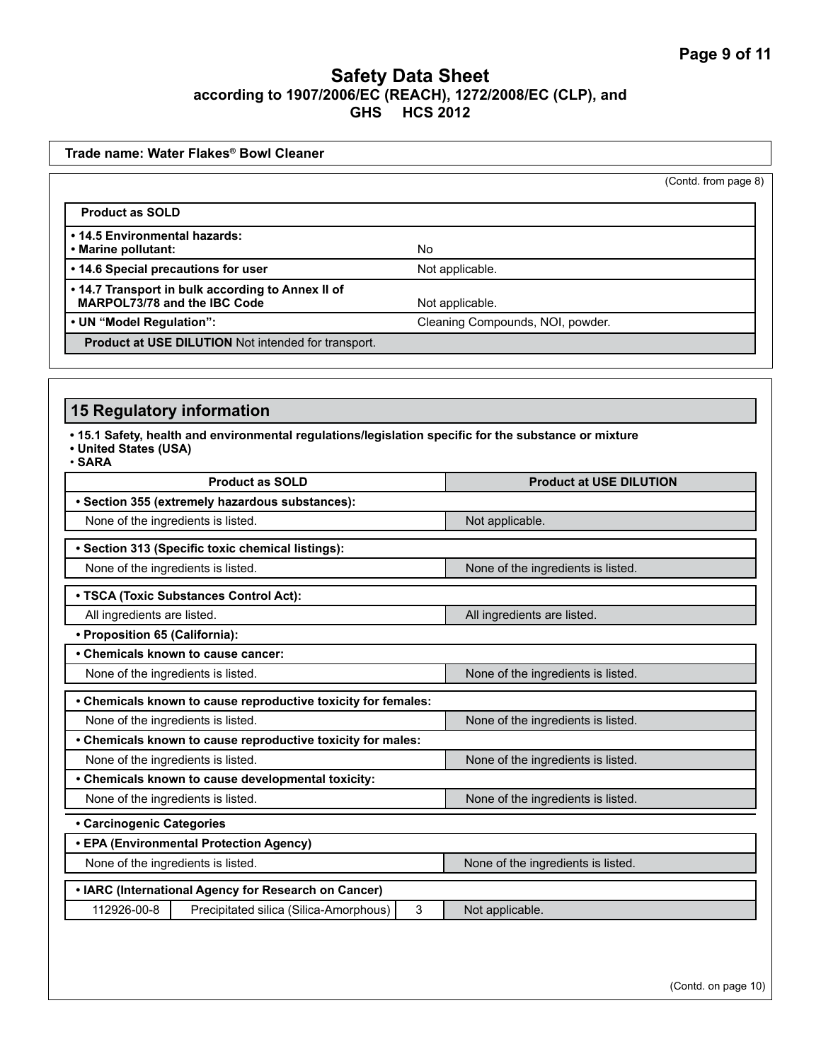| Trade name: Water Flakes® Bowl Cleaner                                            |                                                               |                                                                                                       |  |
|-----------------------------------------------------------------------------------|---------------------------------------------------------------|-------------------------------------------------------------------------------------------------------|--|
|                                                                                   |                                                               | (Contd. from page 8)                                                                                  |  |
| <b>Product as SOLD</b>                                                            |                                                               |                                                                                                       |  |
| • 14.5 Environmental hazards:<br>• Marine pollutant:                              |                                                               | No                                                                                                    |  |
| • 14.6 Special precautions for user                                               |                                                               | Not applicable.                                                                                       |  |
| . 14.7 Transport in bulk according to Annex II of<br>MARPOL73/78 and the IBC Code |                                                               | Not applicable.                                                                                       |  |
| • UN "Model Regulation":                                                          | Cleaning Compounds, NOI, powder.                              |                                                                                                       |  |
|                                                                                   | Product at USE DILUTION Not intended for transport.           |                                                                                                       |  |
|                                                                                   |                                                               |                                                                                                       |  |
| <b>15 Regulatory information</b>                                                  |                                                               |                                                                                                       |  |
| • United States (USA)<br>$\cdot$ SARA                                             |                                                               | . 15.1 Safety, health and environmental regulations/legislation specific for the substance or mixture |  |
|                                                                                   | <b>Product as SOLD</b>                                        | <b>Product at USE DILUTION</b>                                                                        |  |
|                                                                                   | · Section 355 (extremely hazardous substances):               |                                                                                                       |  |
| None of the ingredients is listed.                                                |                                                               | Not applicable.                                                                                       |  |
|                                                                                   | · Section 313 (Specific toxic chemical listings):             |                                                                                                       |  |
| None of the ingredients is listed.                                                |                                                               | None of the ingredients is listed.                                                                    |  |
|                                                                                   | • TSCA (Toxic Substances Control Act):                        |                                                                                                       |  |
| All ingredients are listed.                                                       |                                                               | All ingredients are listed.                                                                           |  |
| • Proposition 65 (California):                                                    |                                                               |                                                                                                       |  |
|                                                                                   | • Chemicals known to cause cancer:                            |                                                                                                       |  |
| None of the ingredients is listed.                                                |                                                               | None of the ingredients is listed.                                                                    |  |
|                                                                                   | • Chemicals known to cause reproductive toxicity for females: |                                                                                                       |  |
| None of the ingredients is listed.                                                |                                                               | None of the ingredients is listed.                                                                    |  |
|                                                                                   | Chemicals known to cause reproductive toxicity for males:     |                                                                                                       |  |
| None of the ingredients is listed.                                                |                                                               | None of the ingredients is listed.                                                                    |  |
|                                                                                   | • Chemicals known to cause developmental toxicity:            |                                                                                                       |  |
| None of the ingredients is listed.                                                |                                                               | None of the ingredients is listed.                                                                    |  |
| • Carcinogenic Categories                                                         |                                                               |                                                                                                       |  |
|                                                                                   | • EPA (Environmental Protection Agency)                       |                                                                                                       |  |
| None of the ingredients is listed.                                                |                                                               | None of the ingredients is listed.                                                                    |  |
|                                                                                   | • IARC (International Agency for Research on Cancer)          |                                                                                                       |  |
| 112926-00-8                                                                       | Precipitated silica (Silica-Amorphous)                        | 3<br>Not applicable.                                                                                  |  |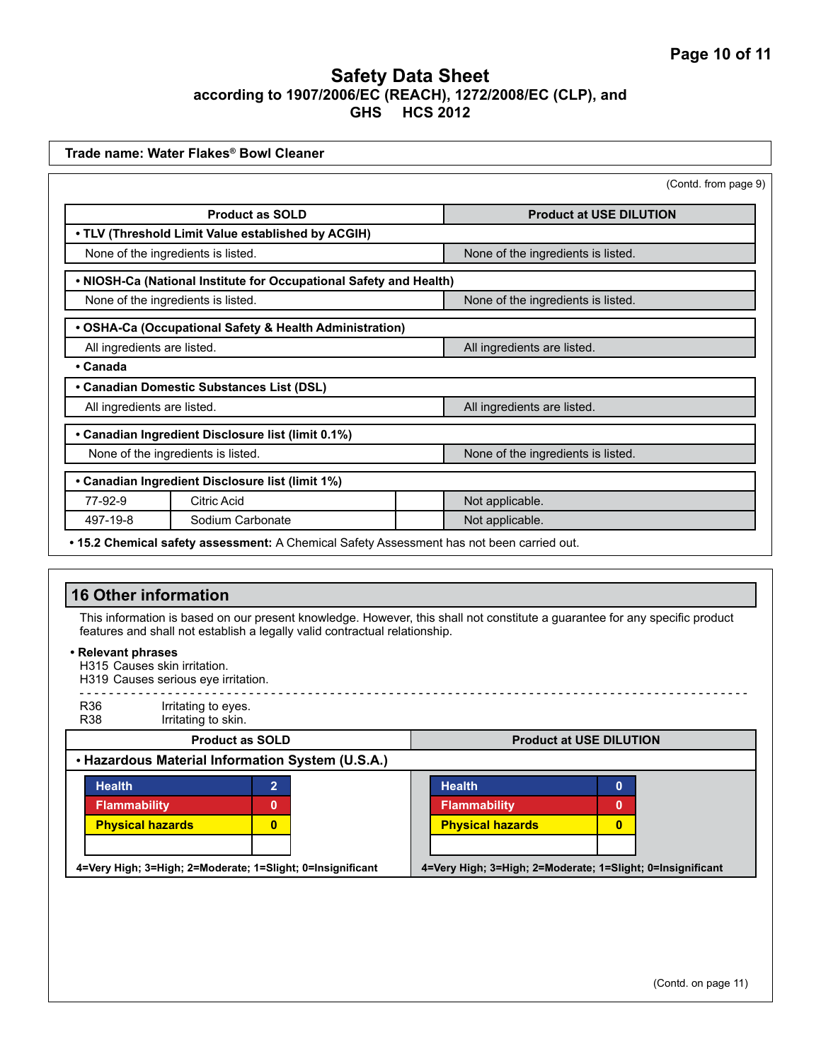| Trade name: Water Flakes® Bowl Cleaner                                                                                                                                                                                                                         |                                                                    |                                                            |  |
|----------------------------------------------------------------------------------------------------------------------------------------------------------------------------------------------------------------------------------------------------------------|--------------------------------------------------------------------|------------------------------------------------------------|--|
|                                                                                                                                                                                                                                                                |                                                                    | (Contd. from page 9)                                       |  |
|                                                                                                                                                                                                                                                                | <b>Product as SOLD</b>                                             | <b>Product at USE DILUTION</b>                             |  |
|                                                                                                                                                                                                                                                                | . TLV (Threshold Limit Value established by ACGIH)                 |                                                            |  |
| None of the ingredients is listed.                                                                                                                                                                                                                             |                                                                    | None of the ingredients is listed.                         |  |
|                                                                                                                                                                                                                                                                | . NIOSH-Ca (National Institute for Occupational Safety and Health) |                                                            |  |
|                                                                                                                                                                                                                                                                | None of the ingredients is listed.                                 | None of the ingredients is listed.                         |  |
|                                                                                                                                                                                                                                                                | • OSHA-Ca (Occupational Safety & Health Administration)            |                                                            |  |
| All ingredients are listed.                                                                                                                                                                                                                                    |                                                                    | All ingredients are listed.                                |  |
| • Canada                                                                                                                                                                                                                                                       |                                                                    |                                                            |  |
|                                                                                                                                                                                                                                                                | • Canadian Domestic Substances List (DSL)                          |                                                            |  |
| All ingredients are listed.                                                                                                                                                                                                                                    |                                                                    | All ingredients are listed.                                |  |
|                                                                                                                                                                                                                                                                | • Canadian Ingredient Disclosure list (limit 0.1%)                 |                                                            |  |
|                                                                                                                                                                                                                                                                | None of the ingredients is listed.                                 | None of the ingredients is listed.                         |  |
|                                                                                                                                                                                                                                                                | • Canadian Ingredient Disclosure list (limit 1%)                   |                                                            |  |
| 77-92-9                                                                                                                                                                                                                                                        | <b>Citric Acid</b>                                                 | Not applicable.                                            |  |
| 497-19-8                                                                                                                                                                                                                                                       | Sodium Carbonate                                                   | Not applicable.                                            |  |
| <b>16 Other information</b><br>This information is based on our present knowledge. However, this shall not constitute a guarantee for any specific product<br>features and shall not establish a legally valid contractual relationship.<br>• Relevant phrases |                                                                    |                                                            |  |
| H315 Causes skin irritation.                                                                                                                                                                                                                                   | H319 Causes serious eye irritation.                                |                                                            |  |
| R36<br><b>R38</b>                                                                                                                                                                                                                                              | Irritating to eyes.<br>Irritating to skin.                         |                                                            |  |
|                                                                                                                                                                                                                                                                | <b>Product as SOLD</b>                                             | <b>Product at USE DILUTION</b>                             |  |
|                                                                                                                                                                                                                                                                | . Hazardous Material Information System (U.S.A.)                   |                                                            |  |
| <b>Health</b>                                                                                                                                                                                                                                                  | $\overline{2}$                                                     | <b>Health</b><br>$\mathbf{0}$                              |  |
| <b>Flammability</b>                                                                                                                                                                                                                                            | $\mathbf{0}$                                                       | Flammability<br>$\mathbf{0}$                               |  |
| <b>Physical hazards</b>                                                                                                                                                                                                                                        | $\bf{0}$                                                           | <b>Physical hazards</b><br>$\mathbf{0}$                    |  |
|                                                                                                                                                                                                                                                                |                                                                    |                                                            |  |
|                                                                                                                                                                                                                                                                | 4=Very High; 3=High; 2=Moderate; 1=Slight; 0=Insignificant         | 4=Very High; 3=High; 2=Moderate; 1=Slight; 0=Insignificant |  |
|                                                                                                                                                                                                                                                                |                                                                    |                                                            |  |
|                                                                                                                                                                                                                                                                |                                                                    |                                                            |  |
|                                                                                                                                                                                                                                                                |                                                                    |                                                            |  |
|                                                                                                                                                                                                                                                                |                                                                    |                                                            |  |
|                                                                                                                                                                                                                                                                |                                                                    |                                                            |  |